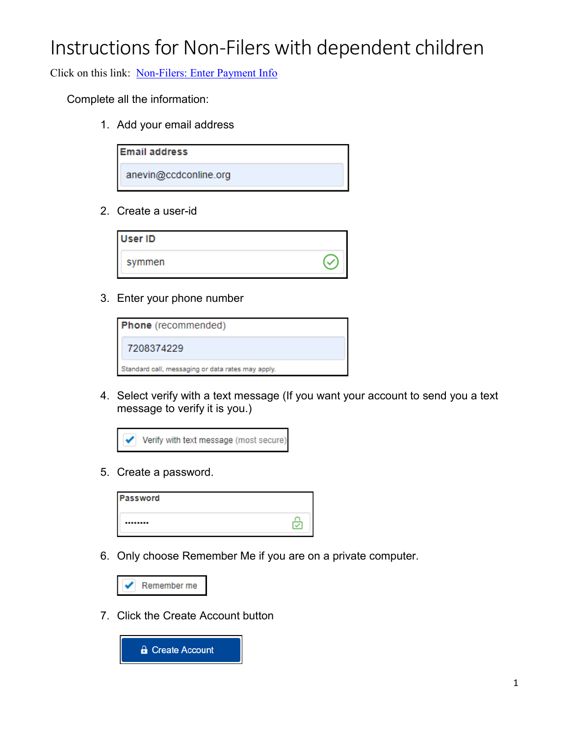Click on this link: [Non-Filers: Enter Payment Info](https://www.freefilefillableforms.com/#/fd/createaccount)

Complete all the information:

1. Add your email address

| <b>Email address</b>  |
|-----------------------|
| anevin@ccdconline.org |

2. Create a user-id

| <b>User ID</b> |  |
|----------------|--|
| symmen         |  |

3. Enter your phone number

| <b>Phone</b> (recommended)                        |
|---------------------------------------------------|
| 7208374229                                        |
| Standard call, messaging or data rates may apply. |

4. Select verify with a text message (If you want your account to send you a text message to verify it is you.)



5. Create a password.

| <b>Password</b> |  |
|-----------------|--|
|                 |  |

6. Only choose Remember Me if you are on a private computer.

| $\blacktriangleright$ Remember me |  |
|-----------------------------------|--|
|-----------------------------------|--|

7. Click the Create Account button

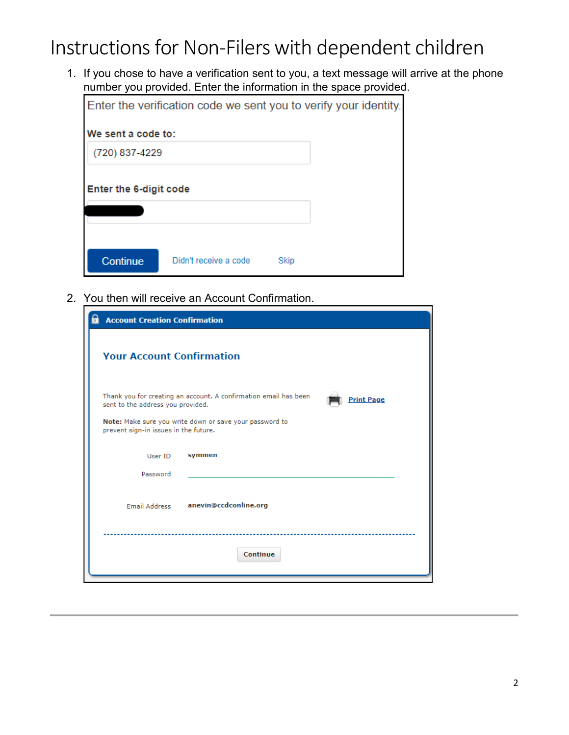1. If you chose to have a verification sent to you, a text message will arrive at the phone number you provided. Enter the information in the space provided.

|                        | Enter the verification code we sent you to verify your identity. |      |  |
|------------------------|------------------------------------------------------------------|------|--|
| We sent a code to:     |                                                                  |      |  |
| (720) 837-4229         |                                                                  |      |  |
| Enter the 6-digit code |                                                                  |      |  |
|                        |                                                                  |      |  |
|                        |                                                                  |      |  |
| Continue               | Didn't receive a code                                            | Skip |  |

2. You then will receive an Account Confirmation.

| <b>Account Creation Confirmation</b>  |                                                                                       |
|---------------------------------------|---------------------------------------------------------------------------------------|
| <b>Your Account Confirmation</b>      |                                                                                       |
| sent to the address you provided.     | Thank you for creating an account. A confirmation email has been<br><b>Print Page</b> |
| prevent sign-in issues in the future. | Note: Make sure you write down or save your password to                               |
| User ID                               | symmen                                                                                |
| Password                              |                                                                                       |
| <b>Email Address</b>                  | anevin@ccdconline.org                                                                 |
|                                       | <b>Continue</b>                                                                       |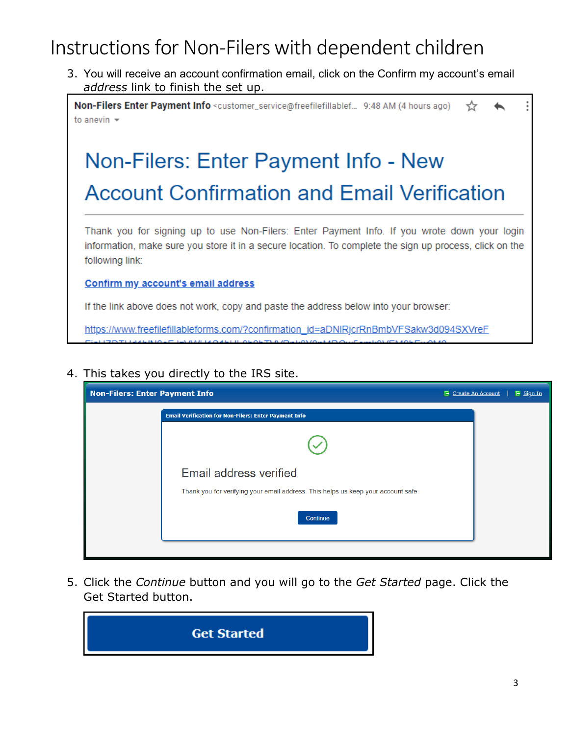3. You will receive an account confirmation email, click on the Confirm my account's email *address* link to finish the set up.

Non-Filers Enter Payment Info <customer\_service@freefilefillablef... 9:48 AM (4 hours ago) ☆ to anevin  $\sim$ 

# Non-Filers: Enter Payment Info - New **Account Confirmation and Email Verification**

Thank you for signing up to use Non-Filers: Enter Payment Info. If you wrote down your login information, make sure you store it in a secure location. To complete the sign up process, click on the following link:

#### Confirm my account's email address

If the link above does not work, copy and paste the address below into your browser:

https://www.freefilefillableforms.com/?confirmation\_id=aDNIRjcrRnBmbVFSakw3d094SXVreF

#### 4. This takes you directly to the IRS site.

| <b>Non-Filers: Enter Payment Info</b>                                             | <b>E</b> Create An Account | $E$ Sign In |
|-----------------------------------------------------------------------------------|----------------------------|-------------|
| <b>Email Verification for Non-Filers: Enter Payment Info</b>                      |                            |             |
|                                                                                   |                            |             |
| Email address verified                                                            |                            |             |
| Thank you for verifying your email address. This helps us keep your account safe. |                            |             |
| Continue                                                                          |                            |             |
|                                                                                   |                            |             |

5. Click the *Continue* button and you will go to the *Get Started* page. Click the Get Started button.

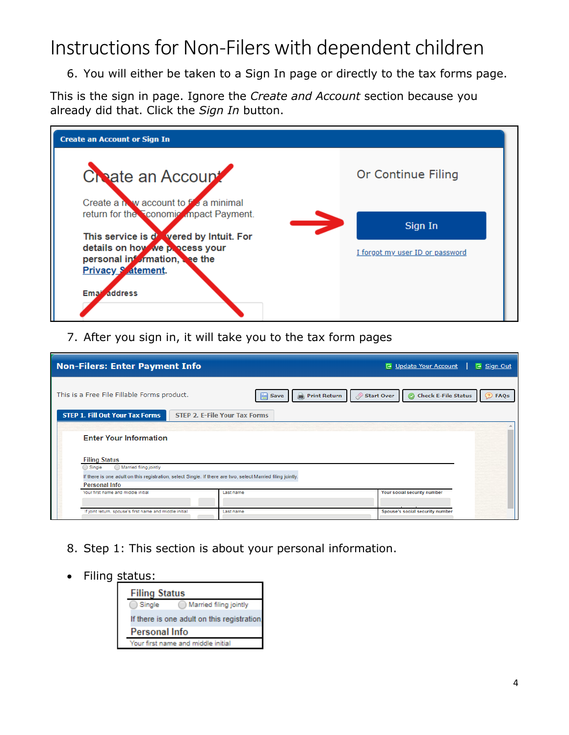6. You will either be taken to a Sign In page or directly to the tax forms page.

This is the sign in page. Ignore the *Create and Account* section because you already did that. Click the *Sign In* button.

| <b>Create an Account or Sign In</b>                                                                                                                                                                      |                                            |
|----------------------------------------------------------------------------------------------------------------------------------------------------------------------------------------------------------|--------------------------------------------|
| Create an Account<br>Create a how account to f's a minimal                                                                                                                                               | Or Continue Filing                         |
| return for the <b>Conomic</b> impact Payment.<br>$\rightarrow$<br>This service is dowered by Intuit. For<br>details on how we process your<br>personal information, see the<br><b>Privacy S</b> atement. | Sign In<br>I forgot my user ID or password |
| Ema <sup>i</sup> address                                                                                                                                                                                 |                                            |

7. After you sign in, it will take you to the tax form pages

| Non-Filers: Enter Payment Info<br><b>E</b> Update Your Account<br>E Sign Out                |                                                                                                             |                                                                             |
|---------------------------------------------------------------------------------------------|-------------------------------------------------------------------------------------------------------------|-----------------------------------------------------------------------------|
| This is a Free File Fillable Forms product.                                                 | <b>Print Return</b><br>H<br>Save                                                                            | <b>Check E-File Status</b><br>Start Over<br><b>D</b> FAQs<br>$\circledcirc$ |
| <b>STEP 1. Fill Out Your Tax Forms</b>                                                      | <b>STEP 2. E-File Your Tax Forms</b>                                                                        |                                                                             |
| <b>Enter Your Information</b><br><b>Filing Status</b><br>Married filing jointly<br>◯ Single |                                                                                                             |                                                                             |
| <b>Personal Info</b>                                                                        | If there is one adult on this registration, select Single. If there are two, select Married filing jointly. |                                                                             |
| Your first name and middle initial                                                          | Last name                                                                                                   | Your social security number                                                 |
| If joint return, spouse's first name and middle initial                                     | Last name                                                                                                   | Spouse's social security number                                             |

- 8. Step 1: This section is about your personal information.
- Filing status:

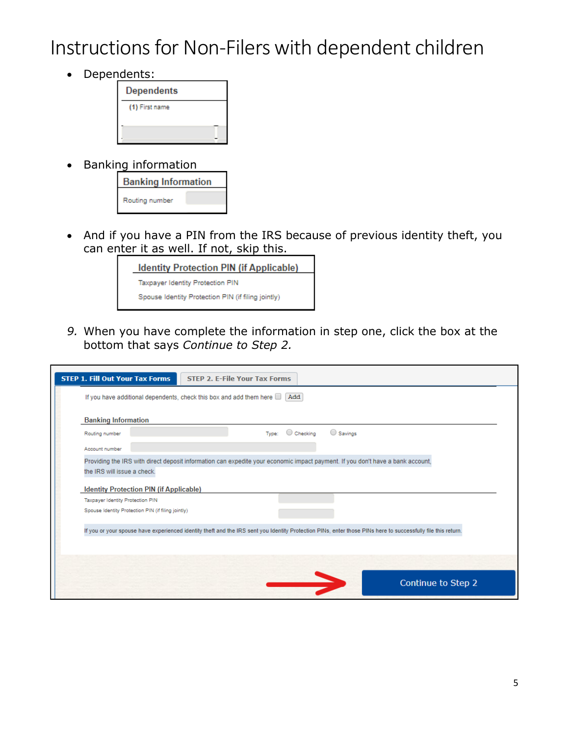• Dependents:



• Banking information

| <b>Banking Information</b> |  |  |
|----------------------------|--|--|
| Routing number             |  |  |

• And if you have a PIN from the IRS because of previous identity theft, you can enter it as well. If not, skip this.

| <b>Identity Protection PIN (if Applicable)</b>     |
|----------------------------------------------------|
| Taxpayer Identity Protection PIN                   |
| Spouse Identity Protection PIN (if filing jointly) |
|                                                    |

*9.* When you have complete the information in step one, click the box at the bottom that says *Continue to Step 2.*

| <b>Banking Information</b>                                      | If you have additional dependents, check this box and add them here $\Box$ Add                                                                               |
|-----------------------------------------------------------------|--------------------------------------------------------------------------------------------------------------------------------------------------------------|
| Routing number                                                  | $\bigcirc$ Savings<br>Checking<br>Tvpe:                                                                                                                      |
| Account number                                                  |                                                                                                                                                              |
| the IRS will issue a check.<br>Taxpayer Identity Protection PIN | <b>Identity Protection PIN (if Applicable)</b>                                                                                                               |
|                                                                 | Spouse Identity Protection PIN (if filing jointly)                                                                                                           |
|                                                                 |                                                                                                                                                              |
|                                                                 | If you or your spouse have experienced identify theft and the IRS sent you Identify Protection PINs, enter those PINs here to successfully file this return. |
|                                                                 |                                                                                                                                                              |
|                                                                 |                                                                                                                                                              |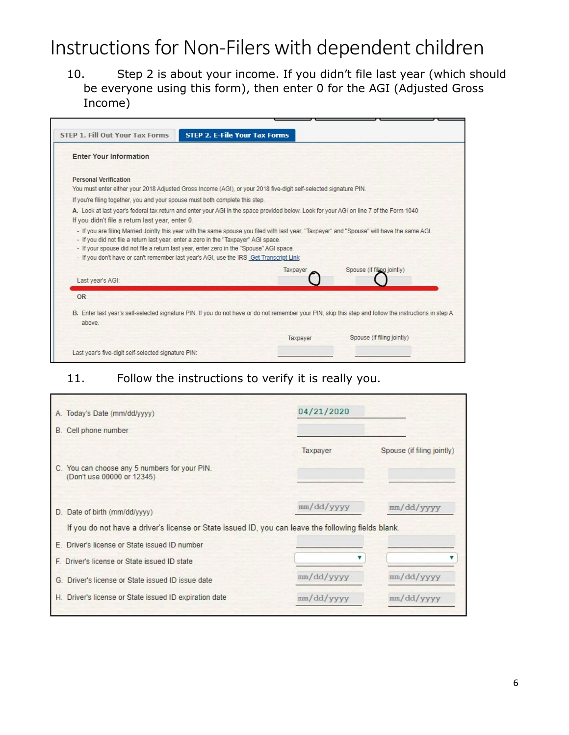10. Step 2 is about your income. If you didn't file last year (which should be everyone using this form), then enter 0 for the AGI (Adjusted Gross Income)

| <b>Enter Your Information</b>                                                                                                                                                                                                                                            |                                                                                                                                                        |
|--------------------------------------------------------------------------------------------------------------------------------------------------------------------------------------------------------------------------------------------------------------------------|--------------------------------------------------------------------------------------------------------------------------------------------------------|
| <b>Personal Verification</b>                                                                                                                                                                                                                                             |                                                                                                                                                        |
|                                                                                                                                                                                                                                                                          | You must enter either your 2018 Adjusted Gross Income (AGI), or your 2018 five-digit self-selected signature PIN.                                      |
| If you're filing together, you and your spouse must both complete this step.                                                                                                                                                                                             |                                                                                                                                                        |
|                                                                                                                                                                                                                                                                          | A. Look at last year's federal tax return and enter your AGI in the space provided below. Look for your AGI on line 7 of the Form 1040                 |
| If you didn't file a return last year, enter 0.                                                                                                                                                                                                                          |                                                                                                                                                        |
| - If you did not file a return last year, enter a zero in the "Taxpayer" AGI space.<br>- If your spouse did not file a return last year, enter zero in the "Spouse" AGI space.<br>- If you don't have or can't remember last year's AGI, use the IRS Get Transcript Link | - If you are filing Married Jointly this year with the same spouse you filed with last year. "Taxpayer" and "Spouse" will have the same AGI.           |
|                                                                                                                                                                                                                                                                          | Taxpayer<br>Spouse (if filing jointly)                                                                                                                 |
| Last year's AGI:                                                                                                                                                                                                                                                         |                                                                                                                                                        |
| <b>OR</b>                                                                                                                                                                                                                                                                |                                                                                                                                                        |
| above.                                                                                                                                                                                                                                                                   | B. Enter last year's self-selected signature PIN. If you do not have or do not remember your PIN, skip this step and follow the instructions in step A |

#### 11. Follow the instructions to verify it is really you.

| A. Today's Date (mm/dd/yyyy)                                                                                                         | 04/21/2020 |                            |
|--------------------------------------------------------------------------------------------------------------------------------------|------------|----------------------------|
| B. Cell phone number                                                                                                                 |            |                            |
| C. You can choose any 5 numbers for your PIN.<br>(Don't use 00000 or 12345)                                                          | Taxpayer   | Spouse (if filing jointly) |
| D. Date of birth (mm/dd/yyyy)<br>If you do not have a driver's license or State issued ID, you can leave the following fields blank. | mm/dd/yyyy | mm/dd/yyyy                 |
| E. Driver's license or State issued ID number                                                                                        |            |                            |
| F. Driver's license or State issued ID state                                                                                         |            |                            |
| G. Driver's license or State issued ID issue date                                                                                    | mm/dd/yyyy | mm/dd/yyyy                 |
| H. Driver's license or State issued ID expiration date                                                                               | mm/dd/yyyy | mm/dd/vyvy                 |